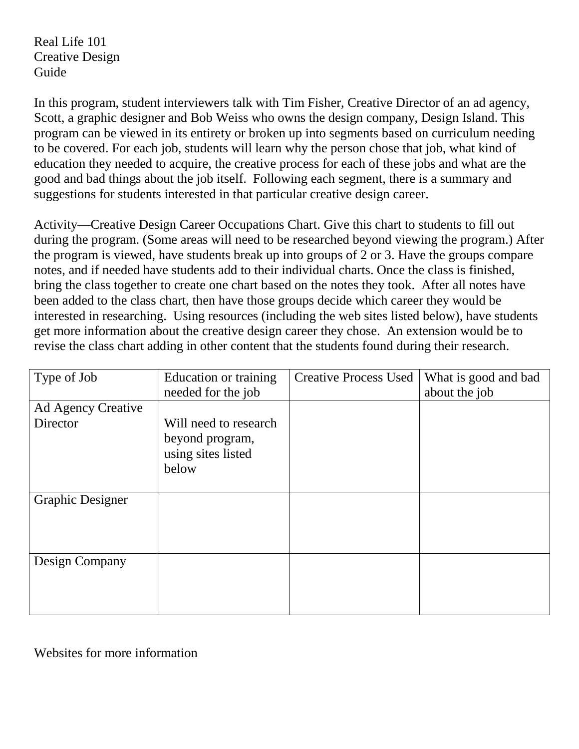Real Life 101 Creative Design Guide

In this program, student interviewers talk with Tim Fisher, Creative Director of an ad agency, Scott, a graphic designer and Bob Weiss who owns the design company, Design Island. This program can be viewed in its entirety or broken up into segments based on curriculum needing to be covered. For each job, students will learn why the person chose that job, what kind of education they needed to acquire, the creative process for each of these jobs and what are the good and bad things about the job itself. Following each segment, there is a summary and suggestions for students interested in that particular creative design career.

Activity—Creative Design Career Occupations Chart. Give this chart to students to fill out during the program. (Some areas will need to be researched beyond viewing the program.) After the program is viewed, have students break up into groups of 2 or 3. Have the groups compare notes, and if needed have students add to their individual charts. Once the class is finished, bring the class together to create one chart based on the notes they took. After all notes have been added to the class chart, then have those groups decide which career they would be interested in researching. Using resources (including the web sites listed below), have students get more information about the creative design career they chose. An extension would be to revise the class chart adding in other content that the students found during their research.

| Type of Job             | Education or training | <b>Creative Process Used</b> | What is good and bad |
|-------------------------|-----------------------|------------------------------|----------------------|
|                         | needed for the job    |                              | about the job        |
| Ad Agency Creative      |                       |                              |                      |
| Director                | Will need to research |                              |                      |
|                         | beyond program,       |                              |                      |
|                         | using sites listed    |                              |                      |
|                         | below                 |                              |                      |
|                         |                       |                              |                      |
| <b>Graphic Designer</b> |                       |                              |                      |
|                         |                       |                              |                      |
|                         |                       |                              |                      |
|                         |                       |                              |                      |
| Design Company          |                       |                              |                      |
|                         |                       |                              |                      |
|                         |                       |                              |                      |
|                         |                       |                              |                      |

Websites for more information